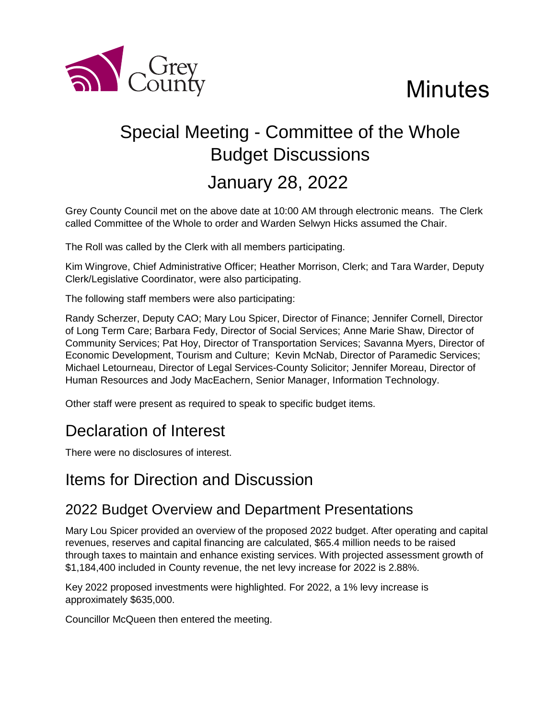

# **Minutes**

## Special Meeting - Committee of the Whole Budget Discussions January 28, 2022

Grey County Council met on the above date at 10:00 AM through electronic means. The Clerk called Committee of the Whole to order and Warden Selwyn Hicks assumed the Chair.

The Roll was called by the Clerk with all members participating.

Kim Wingrove, Chief Administrative Officer; Heather Morrison, Clerk; and Tara Warder, Deputy Clerk/Legislative Coordinator, were also participating.

The following staff members were also participating:

Randy Scherzer, Deputy CAO; Mary Lou Spicer, Director of Finance; Jennifer Cornell, Director of Long Term Care; Barbara Fedy, Director of Social Services; Anne Marie Shaw, Director of Community Services; Pat Hoy, Director of Transportation Services; Savanna Myers, Director of Economic Development, Tourism and Culture; Kevin McNab, Director of Paramedic Services; Michael Letourneau, Director of Legal Services-County Solicitor; Jennifer Moreau, Director of Human Resources and Jody MacEachern, Senior Manager, Information Technology.

Other staff were present as required to speak to specific budget items.

### Declaration of Interest

There were no disclosures of interest.

### Items for Direction and Discussion

#### 2022 Budget Overview and Department Presentations

Mary Lou Spicer provided an overview of the proposed 2022 budget. After operating and capital revenues, reserves and capital financing are calculated, \$65.4 million needs to be raised through taxes to maintain and enhance existing services. With projected assessment growth of \$1,184,400 included in County revenue, the net levy increase for 2022 is 2.88%.

Key 2022 proposed investments were highlighted. For 2022, a 1% levy increase is approximately \$635,000.

Councillor McQueen then entered the meeting.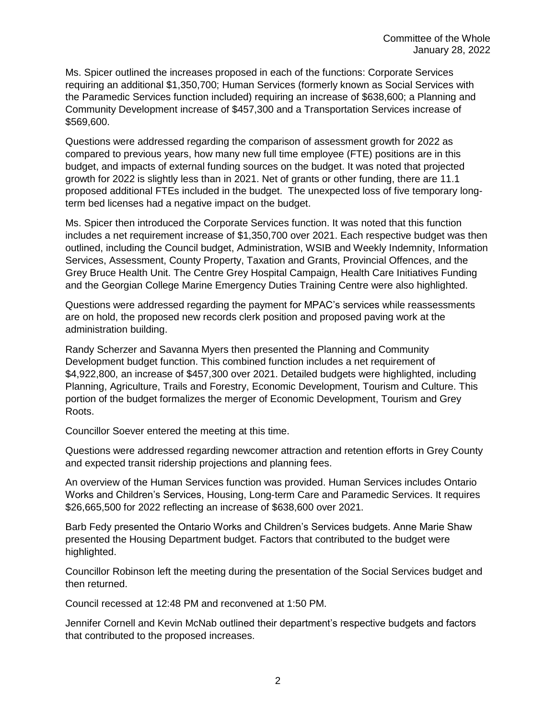Ms. Spicer outlined the increases proposed in each of the functions: Corporate Services requiring an additional \$1,350,700; Human Services (formerly known as Social Services with the Paramedic Services function included) requiring an increase of \$638,600; a Planning and Community Development increase of \$457,300 and a Transportation Services increase of \$569,600.

Questions were addressed regarding the comparison of assessment growth for 2022 as compared to previous years, how many new full time employee (FTE) positions are in this budget, and impacts of external funding sources on the budget. It was noted that projected growth for 2022 is slightly less than in 2021. Net of grants or other funding, there are 11.1 proposed additional FTEs included in the budget. The unexpected loss of five temporary longterm bed licenses had a negative impact on the budget.

Ms. Spicer then introduced the Corporate Services function. It was noted that this function includes a net requirement increase of \$1,350,700 over 2021. Each respective budget was then outlined, including the Council budget, Administration, WSIB and Weekly Indemnity, Information Services, Assessment, County Property, Taxation and Grants, Provincial Offences, and the Grey Bruce Health Unit. The Centre Grey Hospital Campaign, Health Care Initiatives Funding and the Georgian College Marine Emergency Duties Training Centre were also highlighted.

Questions were addressed regarding the payment for MPAC's services while reassessments are on hold, the proposed new records clerk position and proposed paving work at the administration building.

Randy Scherzer and Savanna Myers then presented the Planning and Community Development budget function. This combined function includes a net requirement of \$4,922,800, an increase of \$457,300 over 2021. Detailed budgets were highlighted, including Planning, Agriculture, Trails and Forestry, Economic Development, Tourism and Culture. This portion of the budget formalizes the merger of Economic Development, Tourism and Grey Roots.

Councillor Soever entered the meeting at this time.

Questions were addressed regarding newcomer attraction and retention efforts in Grey County and expected transit ridership projections and planning fees.

An overview of the Human Services function was provided. Human Services includes Ontario Works and Children's Services, Housing, Long-term Care and Paramedic Services. It requires \$26,665,500 for 2022 reflecting an increase of \$638,600 over 2021.

Barb Fedy presented the Ontario Works and Children's Services budgets. Anne Marie Shaw presented the Housing Department budget. Factors that contributed to the budget were highlighted.

Councillor Robinson left the meeting during the presentation of the Social Services budget and then returned.

Council recessed at 12:48 PM and reconvened at 1:50 PM.

Jennifer Cornell and Kevin McNab outlined their department's respective budgets and factors that contributed to the proposed increases.